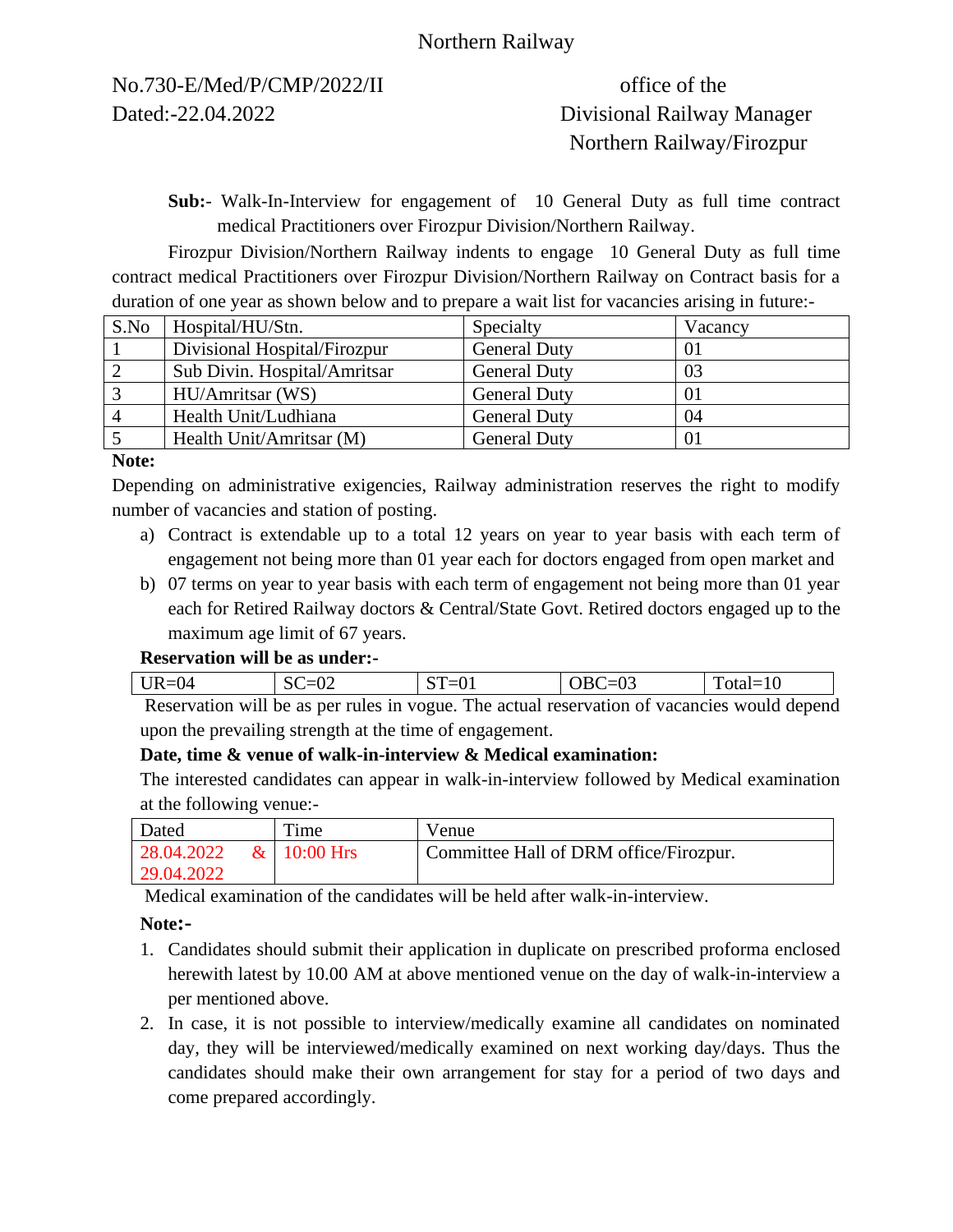## Northern Railway

No.730-E/Med/P/CMP/2022/II office of the Dated:-22.04.2022 Divisional Railway Manager

# Northern Railway/Firozpur

**Sub:**- Walk-In-Interview for engagement of 10 General Duty as full time contract medical Practitioners over Firozpur Division/Northern Railway.

Firozpur Division/Northern Railway indents to engage 10 General Duty as full time contract medical Practitioners over Firozpur Division/Northern Railway on Contract basis for a duration of one year as shown below and to prepare a wait list for vacancies arising in future:-

| S.No | Hospital/HU/Stn.             | Specialty           | Vacancy |
|------|------------------------------|---------------------|---------|
|      | Divisional Hospital/Firozpur | <b>General Duty</b> | 01      |
|      | Sub Divin. Hospital/Amritsar | <b>General Duty</b> | 03      |
|      | HU/Amritsar (WS)             | <b>General Duty</b> | 01      |
|      | Health Unit/Ludhiana         | <b>General Duty</b> | 04      |
|      | Health Unit/Amritsar (M)     | <b>General Duty</b> | 01      |

#### **Note:**

Depending on administrative exigencies, Railway administration reserves the right to modify number of vacancies and station of posting.

- a) Contract is extendable up to a total 12 years on year to year basis with each term of engagement not being more than 01 year each for doctors engaged from open market and
- b) 07 terms on year to year basis with each term of engagement not being more than 01 year each for Retired Railway doctors & Central/State Govt. Retired doctors engaged up to the maximum age limit of 67 years.

#### **Reservation will be as under:-**

| <u>.</u><br>$\mathbf{L}$<br>$\checkmark$<br>--- | $\mathsf{v}\mathsf{v}$ | --<br>◡▴<br>- | . .<br>v. | ΠU<br>-<br>$\sim$ |  |
|-------------------------------------------------|------------------------|---------------|-----------|-------------------|--|
| __                                              | $\cdots$               | $\sim$        |           | .                 |  |

Reservation will be as per rules in vogue. The actual reservation of vacancies would depend upon the prevailing strength at the time of engagement.

## **Date, time & venue of walk-in-interview & Medical examination:**

The interested candidates can appear in walk-in-interview followed by Medical examination at the following venue:-

| Dated       | Time           | Venue                                  |
|-------------|----------------|----------------------------------------|
| 28.04.2022  | $\&$ 10:00 Hrs | Committee Hall of DRM office/Firozpur. |
| 129.04.2022 |                |                                        |

Medical examination of the candidates will be held after walk-in-interview.

#### **Note:-**

- 1. Candidates should submit their application in duplicate on prescribed proforma enclosed herewith latest by 10.00 AM at above mentioned venue on the day of walk-in-interview a per mentioned above.
- 2. In case, it is not possible to interview/medically examine all candidates on nominated day, they will be interviewed/medically examined on next working day/days. Thus the candidates should make their own arrangement for stay for a period of two days and come prepared accordingly.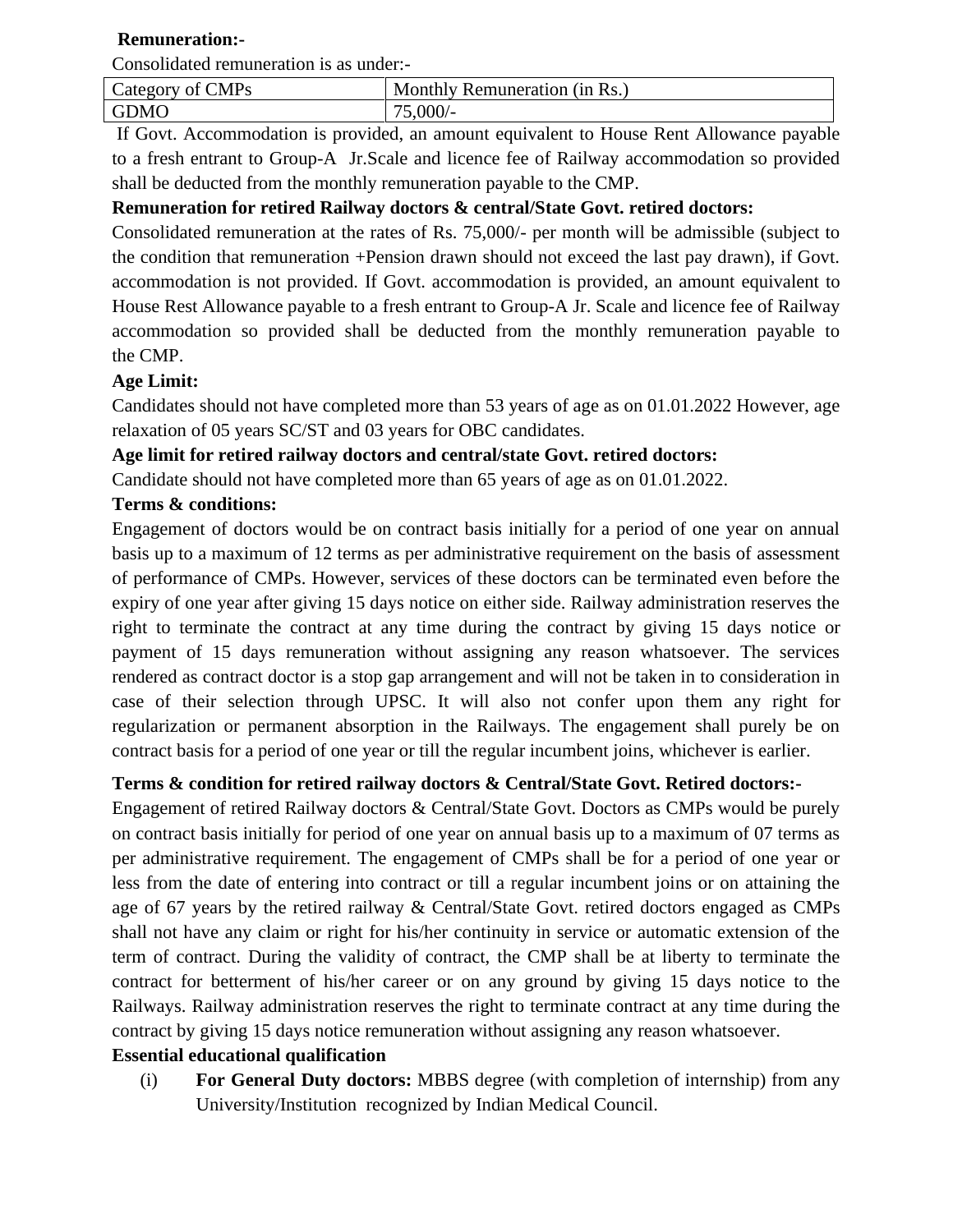## **Remuneration:-**

Consolidated remuneration is as under:-

| Category of CMPs | Monthly Remuneration (in Rs.) |
|------------------|-------------------------------|
| <b>GDMO</b>      | 75,000/-                      |

If Govt. Accommodation is provided, an amount equivalent to House Rent Allowance payable to a fresh entrant to Group-A Jr.Scale and licence fee of Railway accommodation so provided shall be deducted from the monthly remuneration payable to the CMP.

## **Remuneration for retired Railway doctors & central/State Govt. retired doctors:**

Consolidated remuneration at the rates of Rs. 75,000/- per month will be admissible (subject to the condition that remuneration +Pension drawn should not exceed the last pay drawn), if Govt. accommodation is not provided. If Govt. accommodation is provided, an amount equivalent to House Rest Allowance payable to a fresh entrant to Group-A Jr. Scale and licence fee of Railway accommodation so provided shall be deducted from the monthly remuneration payable to the CMP.

## **Age Limit:**

Candidates should not have completed more than 53 years of age as on 01.01.2022 However, age relaxation of 05 years SC/ST and 03 years for OBC candidates.

#### **Age limit for retired railway doctors and central/state Govt. retired doctors:**

Candidate should not have completed more than 65 years of age as on 01.01.2022.

#### **Terms & conditions:**

Engagement of doctors would be on contract basis initially for a period of one year on annual basis up to a maximum of 12 terms as per administrative requirement on the basis of assessment of performance of CMPs. However, services of these doctors can be terminated even before the expiry of one year after giving 15 days notice on either side. Railway administration reserves the right to terminate the contract at any time during the contract by giving 15 days notice or payment of 15 days remuneration without assigning any reason whatsoever. The services rendered as contract doctor is a stop gap arrangement and will not be taken in to consideration in case of their selection through UPSC. It will also not confer upon them any right for regularization or permanent absorption in the Railways. The engagement shall purely be on contract basis for a period of one year or till the regular incumbent joins, whichever is earlier.

## **Terms & condition for retired railway doctors & Central/State Govt. Retired doctors:-**

Engagement of retired Railway doctors & Central/State Govt. Doctors as CMPs would be purely on contract basis initially for period of one year on annual basis up to a maximum of 07 terms as per administrative requirement. The engagement of CMPs shall be for a period of one year or less from the date of entering into contract or till a regular incumbent joins or on attaining the age of 67 years by the retired railway & Central/State Govt. retired doctors engaged as CMPs shall not have any claim or right for his/her continuity in service or automatic extension of the term of contract. During the validity of contract, the CMP shall be at liberty to terminate the contract for betterment of his/her career or on any ground by giving 15 days notice to the Railways. Railway administration reserves the right to terminate contract at any time during the contract by giving 15 days notice remuneration without assigning any reason whatsoever.

### **Essential educational qualification**

(i) **For General Duty doctors:** MBBS degree (with completion of internship) from any University/Institution recognized by Indian Medical Council.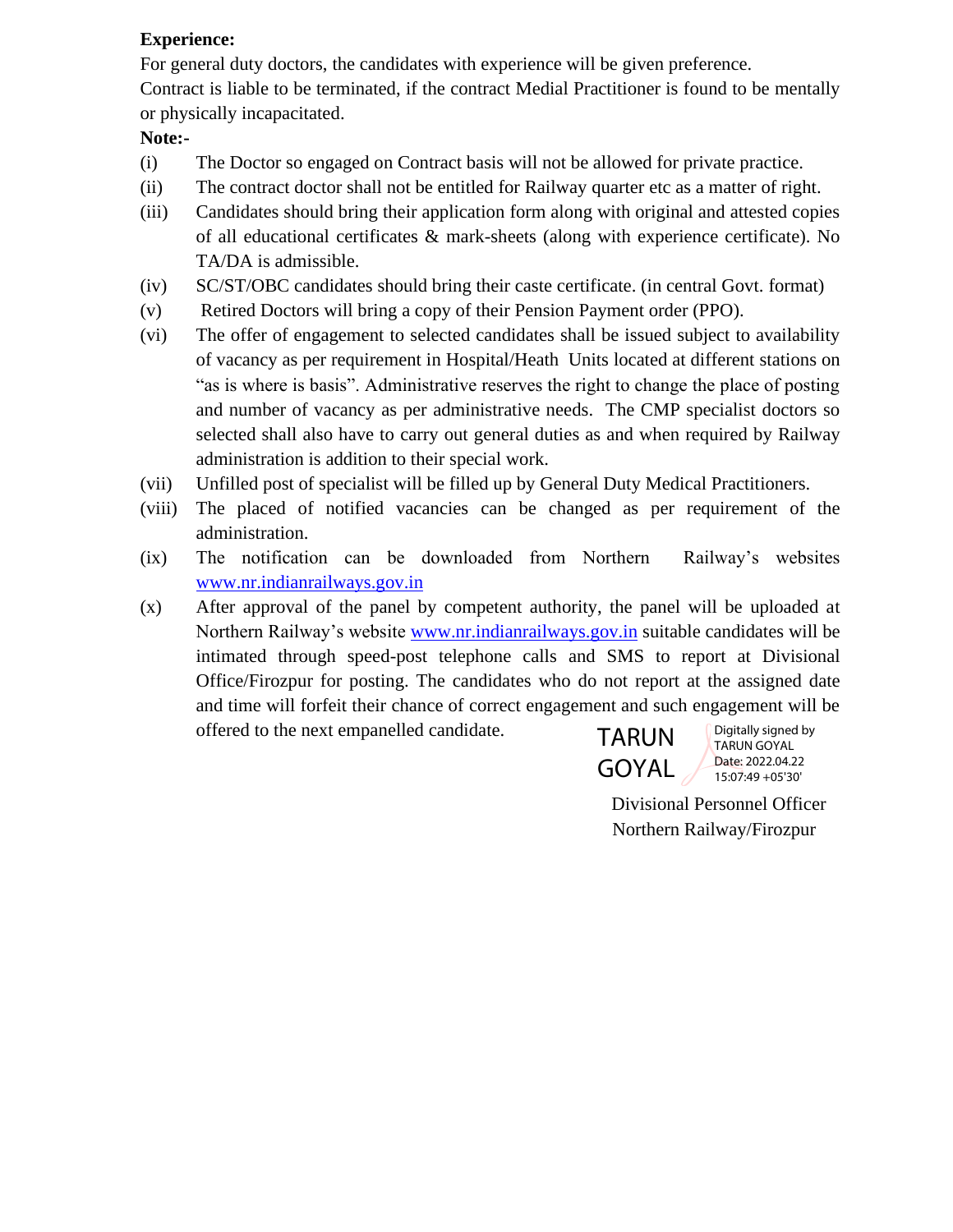## **Experience:**

For general duty doctors, the candidates with experience will be given preference. Contract is liable to be terminated, if the contract Medial Practitioner is found to be mentally or physically incapacitated.

## **Note:-**

- (i) The Doctor so engaged on Contract basis will not be allowed for private practice.
- (ii) The contract doctor shall not be entitled for Railway quarter etc as a matter of right.
- (iii) Candidates should bring their application form along with original and attested copies of all educational certificates & mark-sheets (along with experience certificate). No TA/DA is admissible.
- (iv) SC/ST/OBC candidates should bring their caste certificate. (in central Govt. format)
- (v) Retired Doctors will bring a copy of their Pension Payment order (PPO).
- (vi) The offer of engagement to selected candidates shall be issued subject to availability of vacancy as per requirement in Hospital/Heath Units located at different stations on "as is where is basis". Administrative reserves the right to change the place of posting and number of vacancy as per administrative needs. The CMP specialist doctors so selected shall also have to carry out general duties as and when required by Railway administration is addition to their special work.
- (vii) Unfilled post of specialist will be filled up by General Duty Medical Practitioners.
- (viii) The placed of notified vacancies can be changed as per requirement of the administration.
- (ix) The notification can be downloaded from Northern Railway's websites [www.nr.indianrailways.gov.in](http://www.nr.indianrailways.gov.in/)
- (x) After approval of the panel by competent authority, the panel will be uploaded at Northern Railway's website [www.nr.indianrailways.gov.in](http://www.nr.indianrailways.gov.in/) suitable candidates will be intimated through speed-post telephone calls and SMS to report at Divisional Office/Firozpur for posting. The candidates who do not report at the assigned date and time will forfeit their chance of correct engagement and such engagement will be offered to the next empanelled candidate. Digitally signed by



TARUN GOYAL Date: 2022.04.22 15:07:49 +05'30'

 Divisional Personnel Officer Northern Railway/Firozpur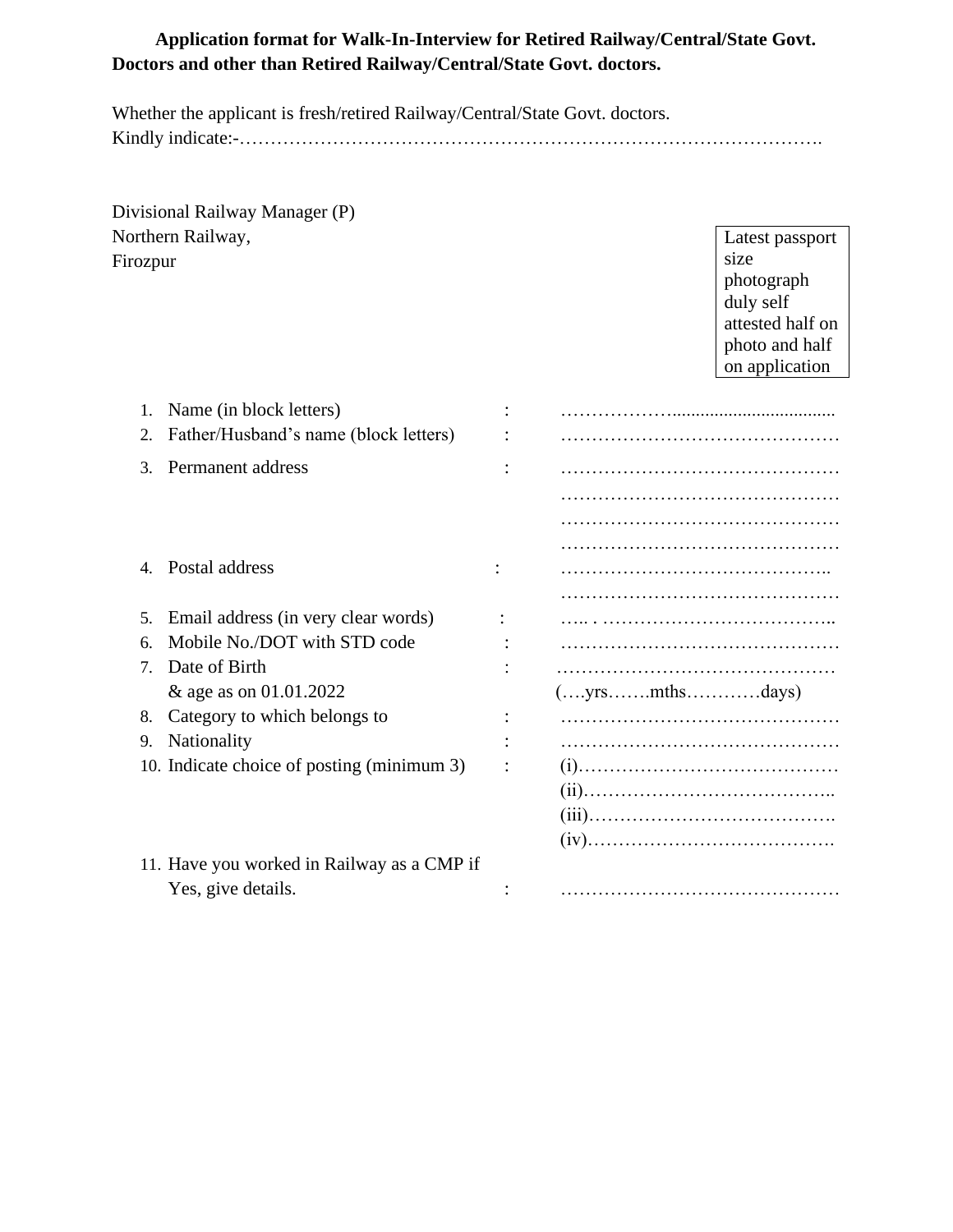## **Application format for Walk-In-Interview for Retired Railway/Central/State Govt. Doctors and other than Retired Railway/Central/State Govt. doctors.**

Whether the applicant is fresh/retired Railway/Central/State Govt. doctors. Kindly indicate:-………………………………………………………………………………….

Divisional Railway Manager (P) Northern Railway, Firozpur

Latest passport size photograph duly self attested half on photo and half on application

| 1.                               | Name (in block letters)                    |               |
|----------------------------------|--------------------------------------------|---------------|
| 2.                               | Father/Husband's name (block letters)      |               |
| 3.                               | Permanent address                          |               |
|                                  |                                            |               |
|                                  |                                            |               |
|                                  |                                            |               |
|                                  | Postal address                             |               |
|                                  |                                            |               |
| 5.                               | Email address (in very clear words)        |               |
| 6.                               | Mobile No./DOT with STD code               |               |
| $7_{\scriptscriptstyle{\ddots}}$ | Date of Birth                              |               |
|                                  | & age as on 01.01.2022                     | (yrsmthsdays) |
| 8.                               | Category to which belongs to               |               |
| 9.                               | <b>Nationality</b>                         |               |
|                                  | 10. Indicate choice of posting (minimum 3) |               |
|                                  |                                            |               |
|                                  |                                            |               |
|                                  |                                            |               |
|                                  | 11. Have you worked in Railway as a CMP if |               |
|                                  | Yes, give details.                         |               |